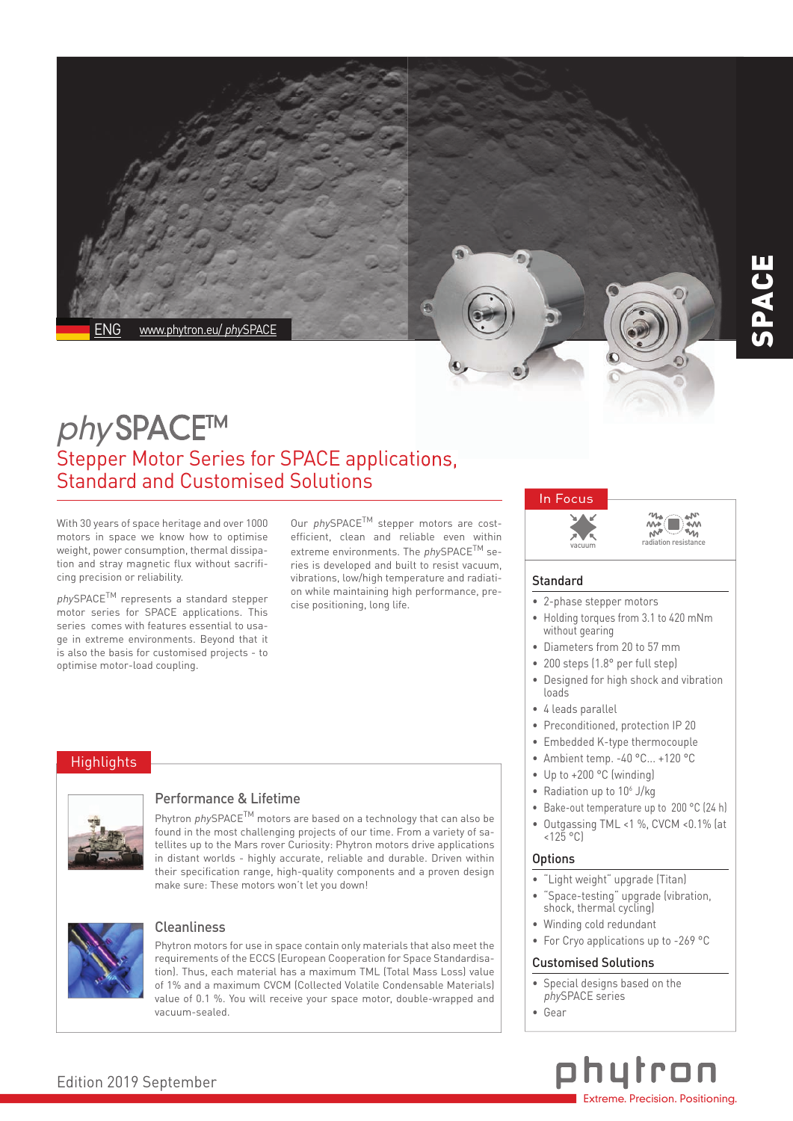

# phySPACE™ Stepper Motor Series for SPACE applications, Standard and Customised Solutions

With 30 years of space heritage and over 1000 motors in space we know how to optimise weight, power consumption, thermal dissipation and stray magnetic flux without sacrificing precision or reliability.

<sup>p</sup>hySPACETM represents a standard stepper motor series for SPACE applications. This series comes with features essential to usage in extreme environments. Beyond that it is also the basis for customised projects - to optimise motor-load coupling.

Our phySPACE<sup>TM</sup> stepper motors are costefficient, clean and reliable even within extreme environments. The phySPACE<sup>TM</sup> series is developed and built to resist vacuum, vibrations, low/high temperature and radiation while maintaining high performance, precise positioning, long life.

## **Highlights**



## Performance & Lifetime

Phytron phySPACE<sup>TM</sup> motors are based on a technology that can also be found in the most challenging projects of our time. From a variety of satellites up to the Mars rover Curiosity: Phytron motors drive applications in distant worlds - highly accurate, reliable and durable. Driven within their specification range, high-quality components and a proven design make sure: These motors won't let you down!



## **Cleanliness**

Phytron motors for use in space contain only materials that also meet the requirements of the ECCS (European Cooperation for Space Standardisation). Thus, each material has a maximum TML (Total Mass Loss) value of 1% and a maximum CVCM (Collected Volatile Condensable Materials) value of 0.1 %. You will receive your space motor, double-wrapped and vacuum-sealed.

# In Focus



⋒

## **Standard**

- 2-phase stepper motors
- Holding torques from 3.1 to 420 mNm without gearing
- Diameters from 20 to 57 mm
- 200 steps (1.8° per full step)
- Designed for high shock and vibration loads
- 4 leads parallel
- Preconditioned, protection IP 20
- Embedded K-type thermocouple
- Ambient temp. -40 °C... +120 °C
- Up to +200 °C (winding)
- Radiation up to  $10<sup>6</sup>$  J/kg
- Bake-out temperature up to 200 °C (24 h)
- Outgassing TML <1 %, CVCM <0.1% (at  $<125$  °C)

#### **Options**

- "Light weight" upgrade (Titan)
- "Space-testing" upgrade (vibration, shock, thermal cycling)
- Winding cold redundant
- For Cryo applications up to -269 °C

#### Customised Solutions

- Special designs based on the phySPACE series
- Gear



## Edition 2019 September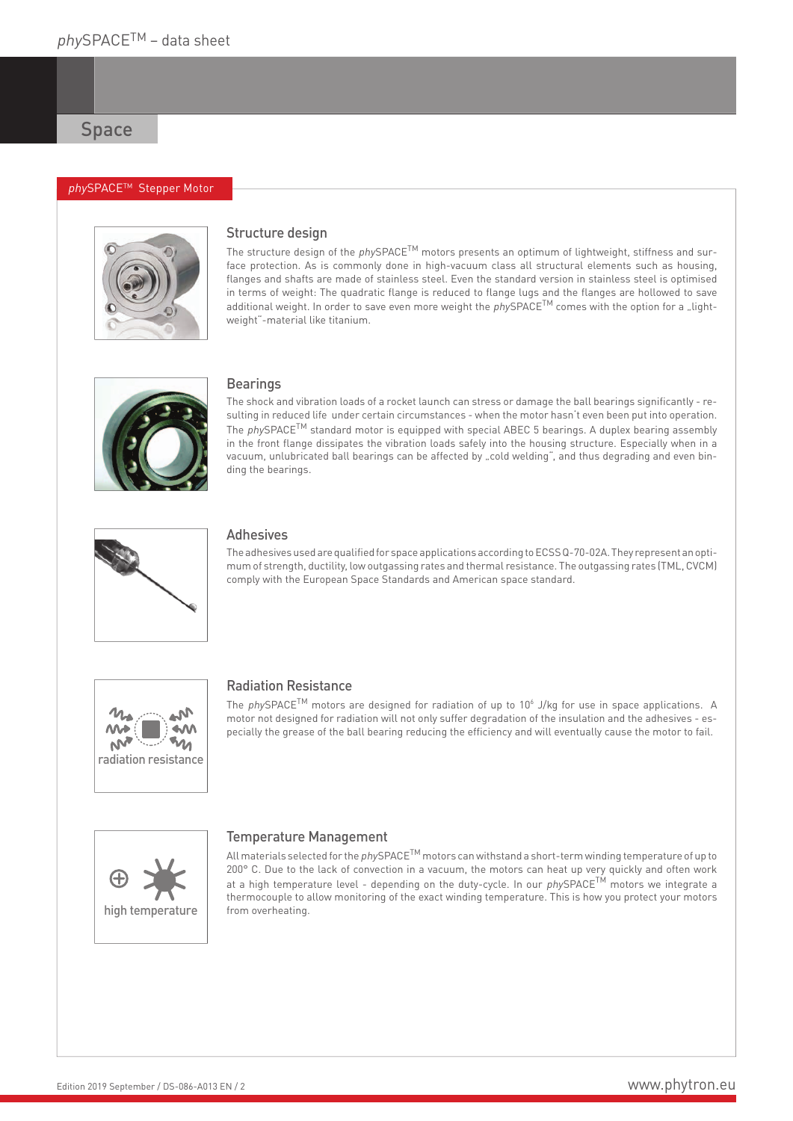### phySPACE™ Stepper Motor



## Structure design

The structure design of the phySPACE<sup>TM</sup> motors presents an optimum of lightweight, stiffness and surface protection. As is commonly done in high-vacuum class all structural elements such as housing, flanges and shafts are made of stainless steel. Even the standard version in stainless steel is optimised in terms of weight: The quadratic flange is reduced to flange lugs and the flanges are hollowed to save additional weight. In order to save even more weight the  $physPACE^{TM}$  comes with the option for a "lightweight"-material like titanium.



#### **Bearings**

The shock and vibration loads of a rocket launch can stress or damage the ball bearings significantly - resulting in reduced life under certain circumstances - when the motor hasn't even been put into operation. The  $physPACE<sup>TM</sup>$  standard motor is equipped with special ABEC 5 bearings. A duplex bearing assembly in the front flange dissipates the vibration loads safely into the housing structure. Especially when in a vacuum, unlubricated ball bearings can be affected by "cold welding", and thus degrading and even binding the bearings.



## Adhesives

The adhesives used are qualified for space applications according to ECSS Q-70-02A. They represent an optimum of strength, ductility, low outgassing rates and thermal resistance. The outgassing rates (TML, CVCM) comply with the European Space Standards and American space standard.



#### Radiation Resistance

The phySPACE<sup>TM</sup> motors are designed for radiation of up to 10<sup>6</sup> J/kg for use in space applications. A motor not designed for radiation will not only suffer degradation of the insulation and the adhesives - especially the grease of the ball bearing reducing the efficiency and will eventually cause the motor to fail.



## Temperature Management

All materials selected for the *phy*SPACE<sup>TM</sup> motors can withstand a short-term winding temperature of up to 200° C. Due to the lack of convection in a vacuum, the motors can heat up very quickly and often work at a high temperature level - depending on the duty-cycle. In our phySPACE<sup>TM</sup> motors we integrate a thermocouple to allow monitoring of the exact winding temperature. This is how you protect your motors from overheating.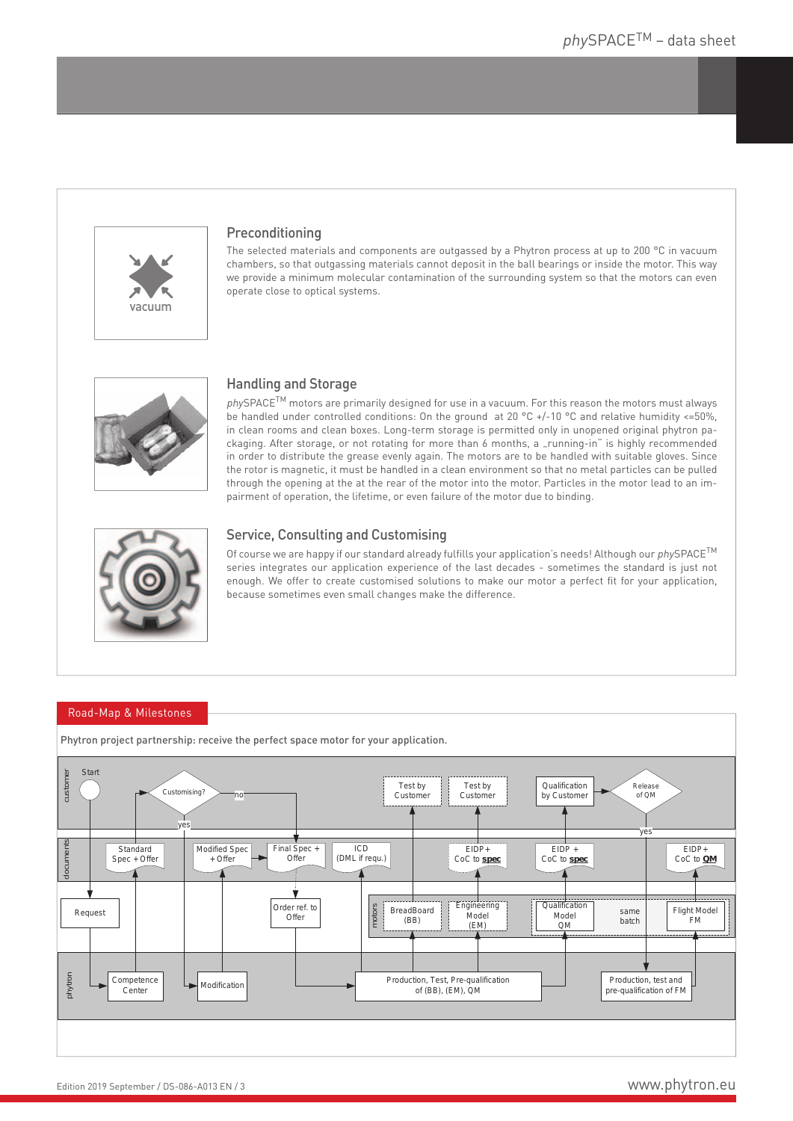

## Preconditioning

The selected materials and components are outgassed by a Phytron process at up to 200 °C in vacuum chambers, so that outgassing materials cannot deposit in the ball bearings or inside the motor. This way we provide a minimum molecular contamination of the surrounding system so that the motors can even operate close to optical systems.



## Handling and Storage

phySPACE<sup>TM</sup> motors are primarily designed for use in a vacuum. For this reason the motors must always be handled under controlled conditions: On the ground at 20 °C +/-10 °C and relative humidity <=50%, in clean rooms and clean boxes. Long-term storage is permitted only in unopened original phytron packaging. After storage, or not rotating for more than 6 months, a "running-in" is highly recommended in order to distribute the grease evenly again. The motors are to be handled with suitable gloves. Since the rotor is magnetic, it must be handled in a clean environment so that no metal particles can be pulled through the opening at the at the rear of the motor into the motor. Particles in the motor lead to an impairment of operation, the lifetime, or even failure of the motor due to binding.



## Service, Consulting and Customising

Of course we are happy if our standard already fulfills your application's needs! Although our  $phySPACE^{\text{TM}}$ series integrates our application experience of the last decades - sometimes the standard is just not enough. We offer to create customised solutions to make our motor a perfect fit for your application, because sometimes even small changes make the difference.

#### Road-Map & Milestones



Phytron project partnership: receive the perfect space motor for your application.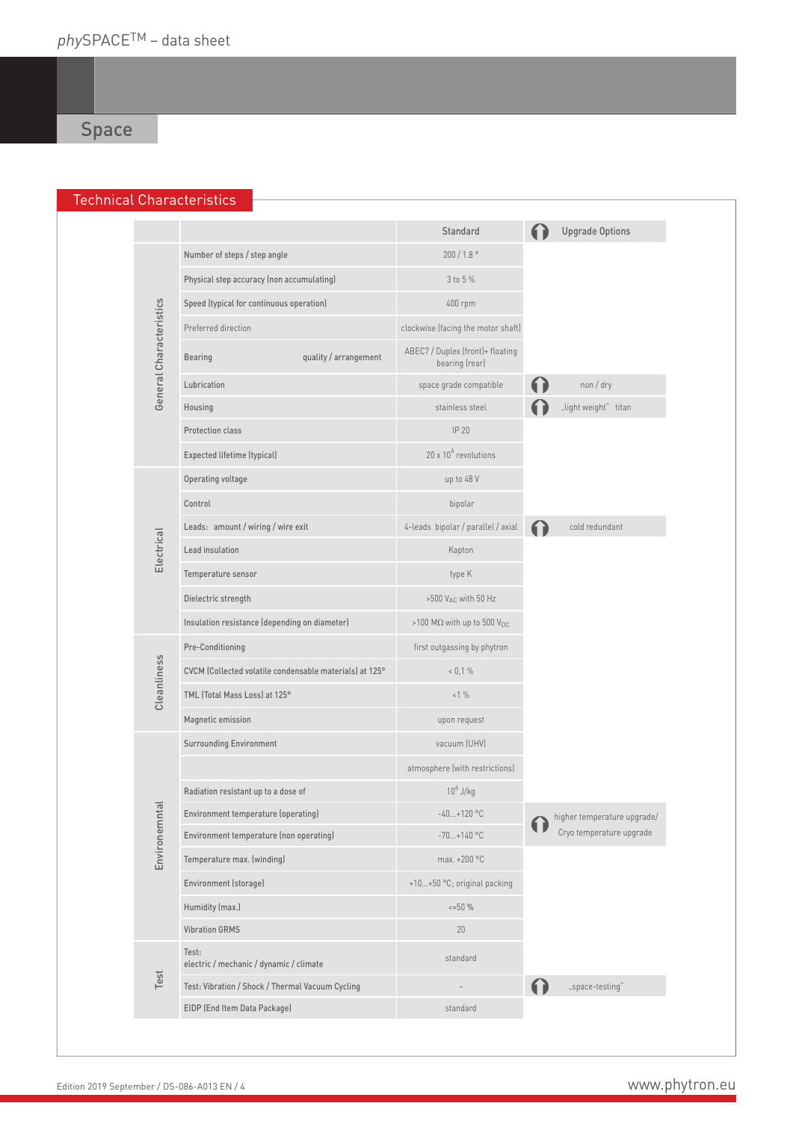## Technical Characteristics

|                         |                                                         | Standard                                           | <b>Upgrade Options</b>      |
|-------------------------|---------------------------------------------------------|----------------------------------------------------|-----------------------------|
|                         | Number of steps / step angle                            | $200/1.8$ °                                        |                             |
|                         | Physical step accuracy (non accumulating)               | 3 to 5 %                                           |                             |
|                         | Speed (typical for continuous operation)                | 400 rpm                                            |                             |
|                         | Preferred direction                                     | clockwise (facing the motor shaft)                 |                             |
| General Characteristics | quality / arrangement<br>Bearing                        | ABEC7 / Duplex (front)+ floating<br>bearing (rear) |                             |
|                         | Lubrication                                             | space grade compatible                             | non / dry                   |
|                         | Housing                                                 | stainless steel                                    | "light weight" titan        |
|                         | Protection class                                        | IP 20                                              |                             |
|                         | Expected lifetime (typical)                             | $20 \times 10^6$ revolutions                       |                             |
|                         | Operating voltage                                       | up to 48 V                                         |                             |
|                         | Control                                                 | bipolar                                            |                             |
|                         | Leads: amount / wiring / wire exit                      | 4-leads bipolar / parallel / axial                 | cold redundant              |
| Electrical              | Lead insulation                                         | Kapton                                             |                             |
|                         | Temperature sensor                                      | type K                                             |                             |
|                         | Dielectric strength                                     | >500 VAC with 50 Hz                                |                             |
|                         | Insulation resistance (depending on diameter)           | >100 MΩ with up to 500 V <sub>DC</sub>             |                             |
|                         | Pre-Conditioning                                        | first outgassing by phytron                        |                             |
|                         | CVCM (Collected volatile condensable materials) at 125° | $< 0.1 \%$                                         |                             |
| Cleanliness             | TML (Total Mass Loss) at 125°                           | <1%                                                |                             |
|                         | Magnetic emission                                       | upon request                                       |                             |
|                         | <b>Surrounding Environment</b>                          | vacuum (UHV)                                       |                             |
|                         |                                                         | atmosphere (with restrictions)                     |                             |
|                         | Radiation resistant up to a dose of                     | $10^6$ J/kg                                        |                             |
| ᅙ                       | Environment temperature (operating)                     | $-40+120$ °C                                       | higher temperature upgrade/ |
| Environemnt             | Environment temperature (non operating)                 | $-70+140$ °C                                       | Cryo temperature upgrade    |
|                         | Temperature max. (winding)                              | max. +200 °C                                       |                             |
|                         | Environment (storage)                                   | +10+50 °C; original packing                        |                             |
|                         | Humidity (max.)                                         | $\leq -50$ %                                       |                             |
|                         | <b>Vibration GRMS</b>                                   | 20                                                 |                             |
|                         | Test:<br>electric / mechanic / dynamic / climate        | standard                                           |                             |
| Test                    | Test: Vibration / Shock / Thermal Vacuum Cycling        |                                                    | "space-testing"             |
|                         | EIDP (End Item Data Package)                            | standard                                           |                             |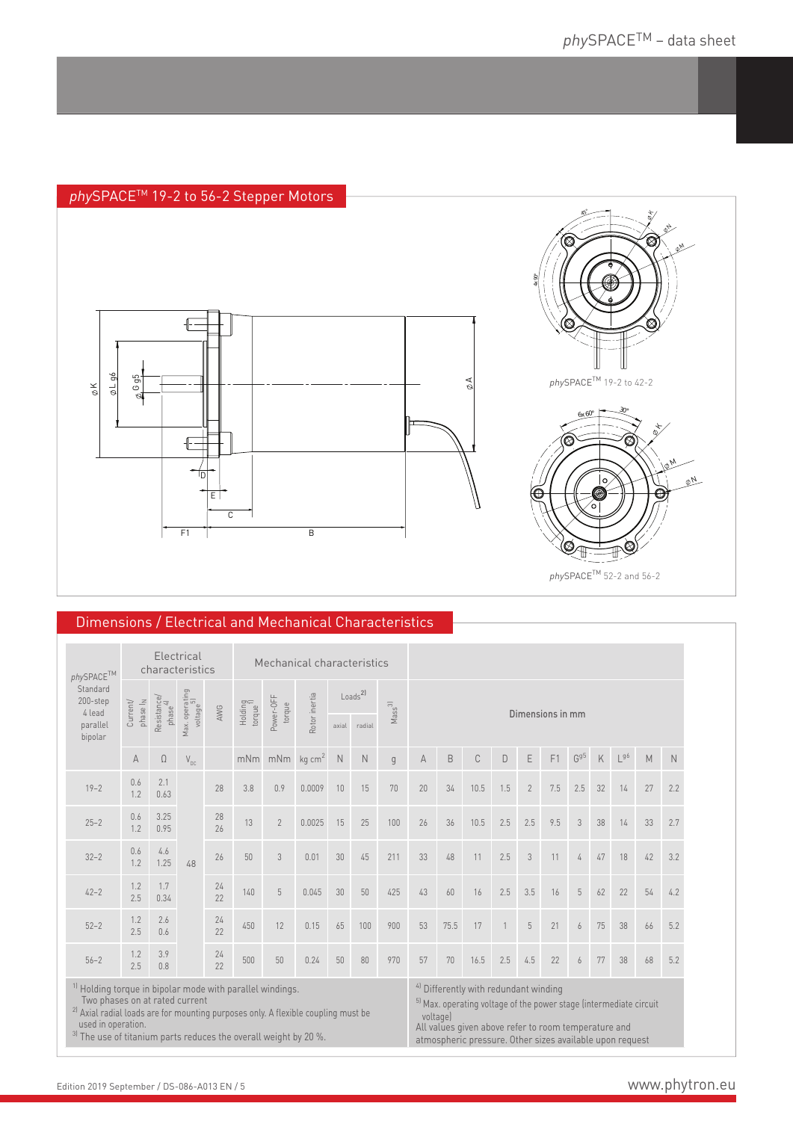## phySPACE<sup>™</sup> 19-2 to 56-2 Stepper Motors





<sup>p</sup>hySPACETM 52-2 and 56-2

## Dimensions / Electrical and Mechanical Characteristics

| $\ensuremath{\mathit{phySPACE}}^{\text{TM}}$<br>Standard<br>200-step<br>4 lead |                                                                                                                                                                                                                                                                                                                                                                                                                                                                                                                                                      | characteristics | Electrical                           |          |                                 | Mechanical characteristics |                                                                     |       |                                                                                                                                                                                                       |     |                  |             |      |              |                |     |                            |    |                                         |    |     |
|--------------------------------------------------------------------------------|------------------------------------------------------------------------------------------------------------------------------------------------------------------------------------------------------------------------------------------------------------------------------------------------------------------------------------------------------------------------------------------------------------------------------------------------------------------------------------------------------------------------------------------------------|-----------------|--------------------------------------|----------|---------------------------------|----------------------------|---------------------------------------------------------------------|-------|-------------------------------------------------------------------------------------------------------------------------------------------------------------------------------------------------------|-----|------------------|-------------|------|--------------|----------------|-----|----------------------------|----|-----------------------------------------|----|-----|
|                                                                                | Resistance/<br>phase <sup>41</sup><br>phase I <sub>N</sub><br>Current/                                                                                                                                                                                                                                                                                                                                                                                                                                                                               |                 | Max. operating<br>voltage<br>voltage | AWG      | Holding<br>torque <sup>1)</sup> | Power-OFF<br>torque        | $\textsf{Loads}^{\textsf{2}}$<br>Rotor inertia<br>Mass <sup>3</sup> |       |                                                                                                                                                                                                       |     | Dimensions in mm |             |      |              |                |     |                            |    |                                         |    |     |
| parallel<br>bipolar                                                            |                                                                                                                                                                                                                                                                                                                                                                                                                                                                                                                                                      |                 |                                      |          |                                 |                            |                                                                     | axial | radial                                                                                                                                                                                                |     |                  |             |      |              |                |     |                            |    |                                         |    |     |
|                                                                                | A                                                                                                                                                                                                                                                                                                                                                                                                                                                                                                                                                    | $\Omega$        | $\mathsf{V}_{\mathsf{DC}}$           |          | mNm                             | mNm                        | kg cm <sup>2</sup>                                                  | N     | N                                                                                                                                                                                                     | q   | A                | $\mathsf B$ | C    | D            | E              | F1  | $\mathsf{G}^{\mathrm{g5}}$ | K  | $\mathsf{L}^{\mathfrak{g}\mathfrak{b}}$ | M  | N   |
| $19 - 2$                                                                       | 0.6<br>1.2                                                                                                                                                                                                                                                                                                                                                                                                                                                                                                                                           | 2.1<br>0.63     |                                      | 28       | 3.8                             | 0.9                        | 0.0009                                                              | 10    | 15                                                                                                                                                                                                    | 70  | 20               | 34          | 10.5 | 1.5          | $\overline{2}$ | 7.5 | 2.5                        | 32 | 14                                      | 27 | 2.2 |
| $25 - 2$                                                                       | 0.6<br>1.2                                                                                                                                                                                                                                                                                                                                                                                                                                                                                                                                           | 3.25<br>0.95    |                                      | 28<br>26 | 13                              | $\overline{2}$             | 0.0025                                                              | 15    | 25                                                                                                                                                                                                    | 100 | 26               | 36          | 10.5 | 2.5          | 2.5            | 9.5 | 3                          | 38 | 14                                      | 33 | 2.7 |
| $32 - 2$                                                                       | 0.6<br>1.2                                                                                                                                                                                                                                                                                                                                                                                                                                                                                                                                           | 4.6<br>1.25     | 48                                   | 26       | 50                              | 3                          | 0.01                                                                | 30    | 45                                                                                                                                                                                                    | 211 | 33               | 48          | 11   | 2.5          | 3              | 11  | 4                          | 47 | 18                                      | 42 | 3.2 |
| $42 - 2$                                                                       | 1.2<br>2.5                                                                                                                                                                                                                                                                                                                                                                                                                                                                                                                                           | 1.7<br>0.34     |                                      | 24<br>22 | 140                             | $5\,$                      | 0.045                                                               | 30    | 50                                                                                                                                                                                                    | 425 | 43               | 60          | 16   | 2.5          | 3.5            | 16  | 5                          | 62 | 22                                      | 54 | 4.2 |
| $52 - 2$                                                                       | 1.2<br>2.5                                                                                                                                                                                                                                                                                                                                                                                                                                                                                                                                           | 2.6<br>0.6      |                                      | 24<br>22 | 450                             | 12                         | 0.15                                                                | 65    | 100                                                                                                                                                                                                   | 900 | 53               | 75.5        | 17   | $\mathbf{1}$ | 5              | 21  | 6                          | 75 | 38                                      | 66 | 5.2 |
| $56 - 2$                                                                       | 1.2<br>2.5                                                                                                                                                                                                                                                                                                                                                                                                                                                                                                                                           | 3.9<br>0.8      |                                      | 24<br>22 | 500                             | 50                         | 0.24                                                                | 50    | 80                                                                                                                                                                                                    | 970 | 57               | 70          | 16.5 | 2.5          | 4.5            | 22  | 6                          | 77 | 38                                      | 68 | 5.2 |
|                                                                                | <sup>1)</sup> Holding torque in bipolar mode with parallel windings.<br>Two phases on at rated current<br><sup>2)</sup> Axial radial loads are for mounting purposes only. A flexible coupling must be<br>used in operation.<br>$3\frac{1}{2}$ $\frac{1}{2}$ $\frac{1}{2}$ $\frac{1}{2}$ $\frac{1}{2}$ $\frac{1}{2}$ $\frac{1}{2}$ $\frac{1}{2}$ $\frac{1}{2}$ $\frac{1}{2}$ $\frac{1}{2}$ $\frac{1}{2}$ $\frac{1}{2}$ $\frac{1}{2}$ $\frac{1}{2}$ $\frac{1}{2}$ $\frac{1}{2}$ $\frac{1}{2}$ $\frac{1}{2}$ $\frac{1}{2}$ $\frac{1}{2}$ $\frac{1}{2}$ |                 |                                      |          |                                 |                            |                                                                     |       | <sup>4)</sup> Differently with redundant winding<br><sup>5)</sup> Max. operating voltage of the power stage (intermediate circuit<br>voltage)<br>All values given above refer to room temperature and |     |                  |             |      |              |                |     |                            |    |                                         |    |     |

3) The use of titanium parts reduces the overall weight by 20 %. atmospheric pressure. Other sizes available upon request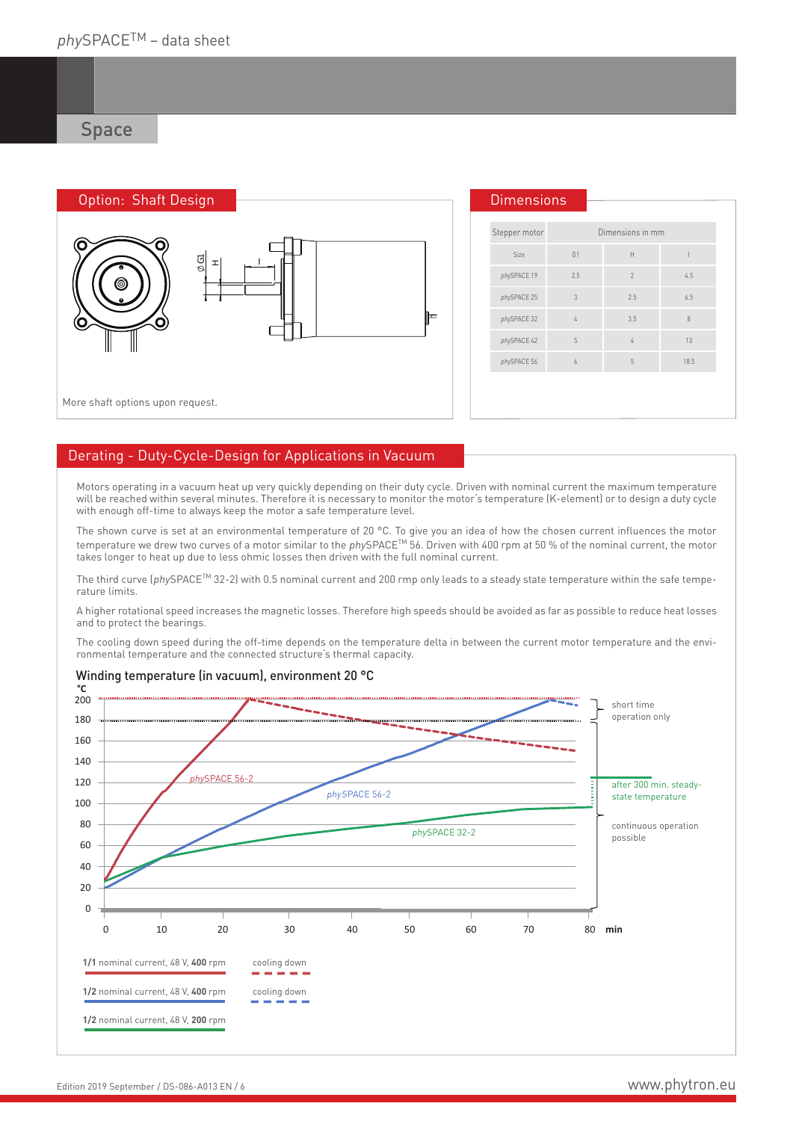| Option: Shaft Design             | <b>Dimensions</b> |                |                  |        |
|----------------------------------|-------------------|----------------|------------------|--------|
| Ő<br>u                           | Stepper motor     |                | Dimensions in mm |        |
| $\frac{\delta}{\delta}$<br>피     | Size              | G <sub>1</sub> | $\mathsf H$      |        |
| ◎                                | phySPACE 19       | 2.5            | $\overline{2}$   | 4.5    |
|                                  | phySPACE 25       | 3              | 2.5              | 6.5    |
| ⊫<br>O                           | phySPACE 32       |                | 3.5              | $\, 8$ |
|                                  | phySPACE 42       | 5              | $\mathbf{r}$     | 13     |
|                                  | phySPACE 56       | 6              | 5                | 18.5   |
|                                  |                   |                |                  |        |
| More shaft options upon request. |                   |                |                  |        |

## Derating - Duty-Cycle-Design for Applications in Vacuum

Motors operating in a vacuum heat up very quickly depending on their duty cycle. Driven with nominal current the maximum temperature will be reached within several minutes. Therefore it is necessary to monitor the motor's temperature (K-element) or to design a duty cycle with enough off-time to always keep the motor a safe temperature level.

The shown curve is set at an environmental temperature of 20 °C. To give you an idea of how the chosen current influences the motor temperature we drew two curves of a motor similar to the phySPACE<sup>TM</sup> 56. Driven with 400 rpm at 50 % of the nominal current, the motor takes longer to heat up due to less ohmic losses then driven with the full nominal current.

The third curve (phySPACE<sup>TM</sup> 32-2) with 0.5 nominal current and 200 rmp only leads to a steady state temperature within the safe temperature limits.

A higher rotational speed increases the magnetic losses. Therefore high speeds should be avoided as far as possible to reduce heat losses and to protect the bearings.

The cooling down speed during the off-time depends on the temperature delta in between the current motor temperature and the environmental temperature and the connected structure's thermal capacity.



## Winding temperature (in vacuum), environment 20 °C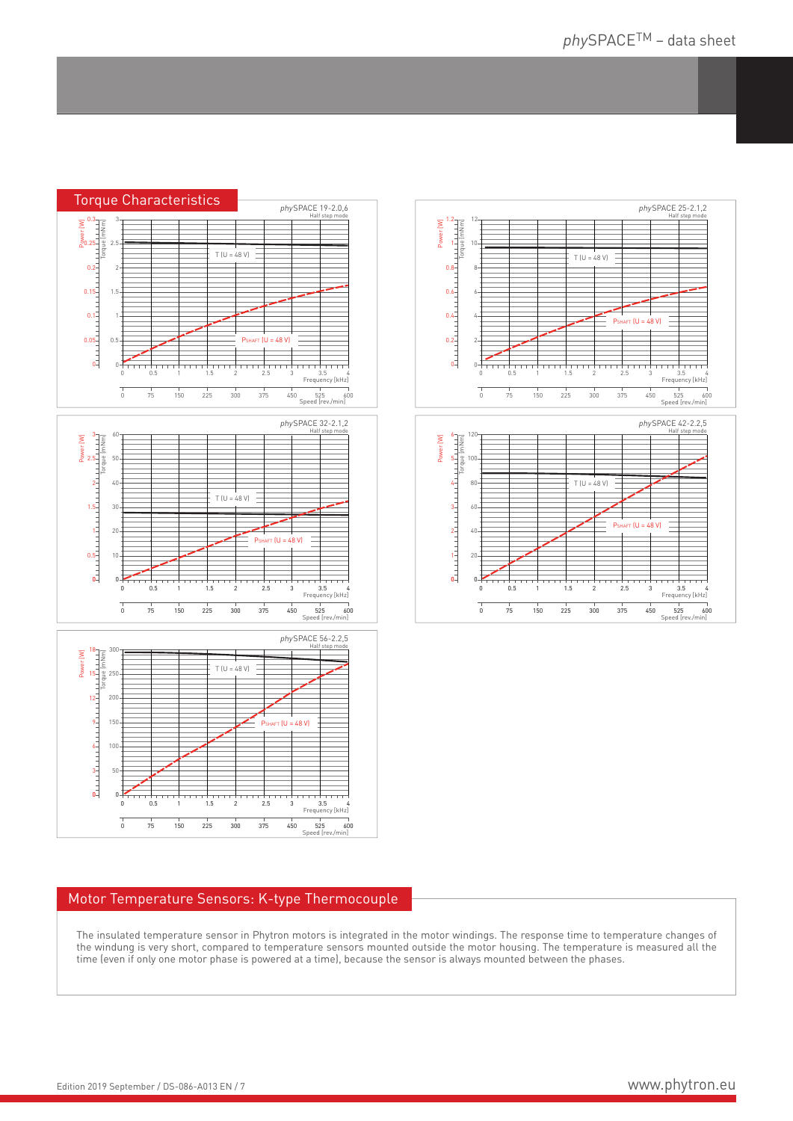





## Motor Temperature Sensors: K-type Thermocouple

The insulated temperature sensor in Phytron motors is integrated in the motor windings. The response time to temperature changes of the windung is very short, compared to temperature sensors mounted outside the motor housing. The temperature is measured all the time (even if only one motor phase is powered at a time), because the sensor is always mounted between the phases.



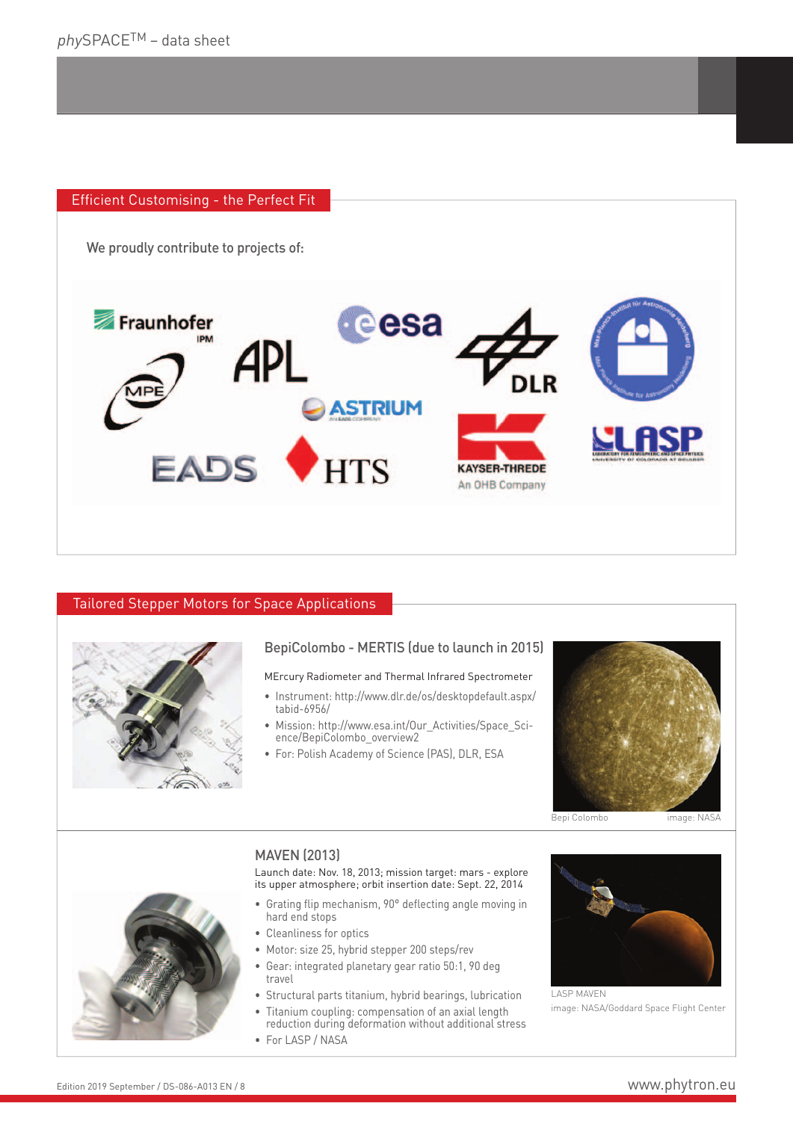## Efficient Customising - the Perfect Fit

We proudly contribute to projects of:



## Tailored Stepper Motors for Space Applications



## BepiColombo - MERTIS (due to launch in 2015)

## MErcury Radiometer and Thermal Infrared Spectrometer

- Instrument: http://www.dlr.de/os/desktopdefault.aspx/ tabid-6956/
- Mission: http://www.esa.int/Our\_Activities/Space\_Science/BepiColombo\_overview2
- For: Polish Academy of Science (PAS), DLR, ESA



Bepi Colombo image: NAS

## MAVEN (2013)

Launch date: Nov. 18, 2013; mission target: mars - explore its upper atmosphere; orbit insertion date: Sept. 22, 2014

- Grating flip mechanism, 90° deflecting angle moving in hard end stops
- Cleanliness for optics
- Motor: size 25, hybrid stepper 200 steps/rev
- Gear: integrated planetary gear ratio 50:1, 90 deg travel
- Structural parts titanium, hybrid bearings, lubrication
- Titanium coupling: compensation of an axial length
- reduction during deformation without additional stress
- For LASP / NASA



LASP MAVEN image: NASA/Goddard Space Flight Center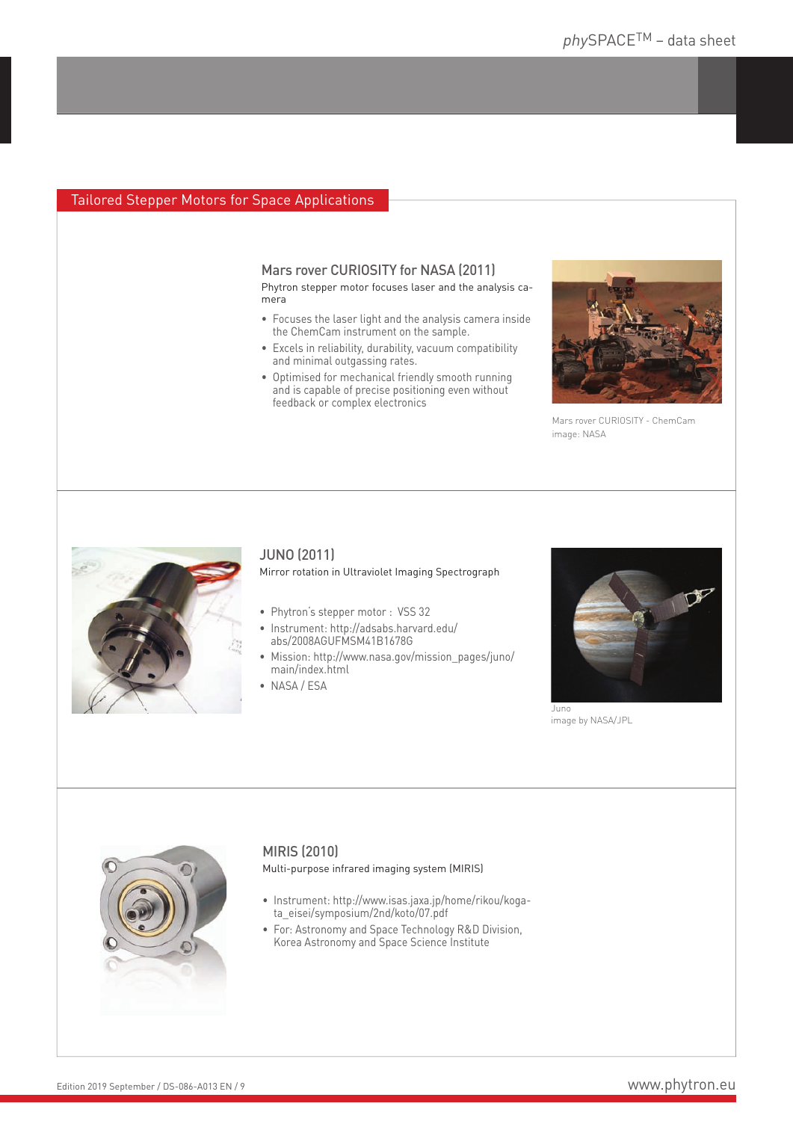## Tailored Stepper Motors for Space Applications

Mars rover CURIOSITY for NASA (2011) Phytron stepper motor focuses laser and the analysis camera

- Focuses the laser light and the analysis camera inside the ChemCam instrument on the sample.
- Excels in reliability, durability, vacuum compatibility and minimal outgassing rates.
- Optimised for mechanical friendly smooth running and is capable of precise positioning even without feedback or complex electronics



Mars rover CURIOSITY - ChemCam image: NASA



## JUNO (2011)

Mirror rotation in Ultraviolet Imaging Spectrograph

- Phytron's stepper motor : VSS 32
- Instrument: http://adsabs.harvard.edu/ abs/2008AGUFMSM41B1678G
- Mission: http://www.nasa.gov/mission\_pages/juno/ main/index.html
- NASA / ESA



image by NASA/JPL



## MIRIS (2010)

Multi-purpose infrared imaging system (MIRIS)

- Instrument: http://www.isas.jaxa.jp/home/rikou/kogata\_eisei/symposium/2nd/koto/07.pdf
- For: Astronomy and Space Technology R&D Division, Korea Astronomy and Space Science Institute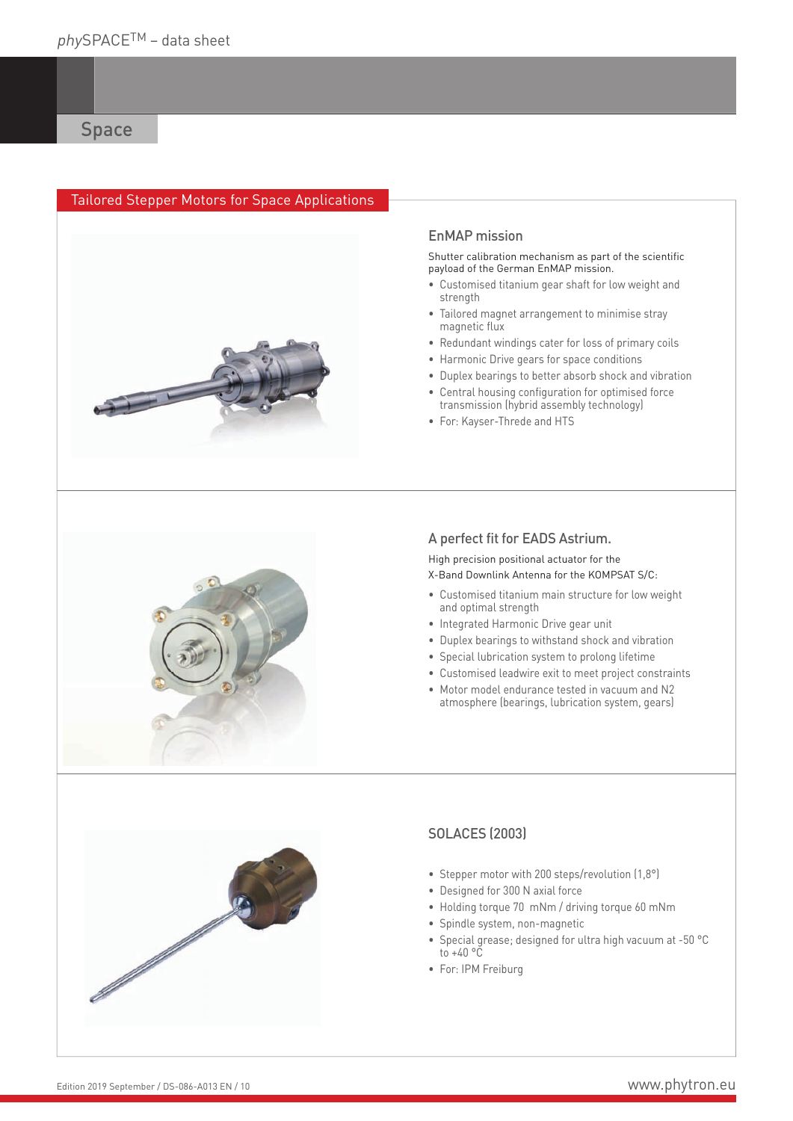## Tailored Stepper Motors for Space Applications



## EnMAP mission

Shutter calibration mechanism as part of the scientific payload of the German EnMAP mission.

- Customised titanium gear shaft for low weight and strength
- Tailored magnet arrangement to minimise stray magnetic flux
- Redundant windings cater for loss of primary coils
- Harmonic Drive gears for space conditions
- Duplex bearings to better absorb shock and vibration
- Central housing configuration for optimised force transmission (hybrid assembly technology)
- For: Kayser-Threde and HTS



## A perfect fit for EADS Astrium.

High precision positional actuator for the X-Band Downlink Antenna for the KOMPSAT S/C:

- Customised titanium main structure for low weight and optimal strength
- Integrated Harmonic Drive gear unit
- Duplex bearings to withstand shock and vibration
- Special lubrication system to prolong lifetime
- Customised leadwire exit to meet project constraints
- Motor model endurance tested in vacuum and N2 atmosphere (bearings, lubrication system, gears)



## SOLACES (2003)

- Stepper motor with 200 steps/revolution (1,8°)
- Designed for 300 N axial force
- Holding torque 70 mNm / driving torque 60 mNm
- Spindle system, non-magnetic
- Special grease; designed for ultra high vacuum at -50 °C to  $+40$  °C
- For: IPM Freiburg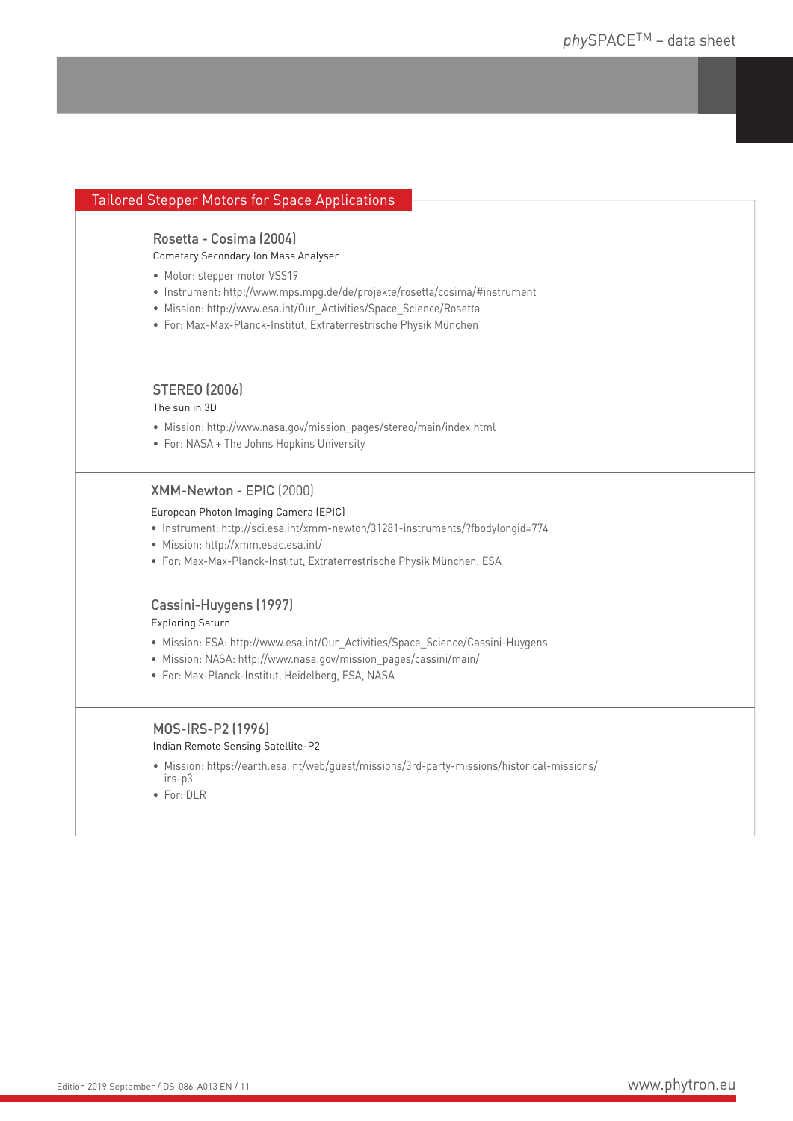| <b>Tailored Stepper Motors for Space Applications</b>                           |
|---------------------------------------------------------------------------------|
|                                                                                 |
| Rosetta - Cosima (2004)                                                         |
| Cometary Secondary Ion Mass Analyser                                            |
| • Motor: stepper motor VSS19                                                    |
| • Instrument: http://www.mps.mpg.de/de/projekte/rosetta/cosima/#instrument      |
| · Mission: http://www.esa.int/Our_Activities/Space_Science/Rosetta              |
| · For: Max-Max-Planck-Institut, Extraterrestrische Physik München               |
| <b>STEREO (2006)</b>                                                            |
| The sun in 3D                                                                   |
| • Mission: http://www.nasa.gov/mission_pages/stereo/main/index.html             |
| • For: NASA + The Johns Hopkins University                                      |
| XMM-Newton - EPIC (2000)                                                        |
| European Photon Imaging Camera (EPIC)                                           |
| · Instrument: http://sci.esa.int/xmm-newton/31281-instruments/?fbodylongid=774  |
| · Mission: http://xmm.esac.esa.int/                                             |
| · For: Max-Max-Planck-Institut, Extraterrestrische Physik München, ESA          |
| Cassini-Huygens (1997)                                                          |
| <b>Exploring Saturn</b>                                                         |
| • Mission: ESA: http://www.esa.int/Our_Activities/Space_Science/Cassini-Huygens |
| · Mission: NASA: http://www.nasa.gov/mission_pages/cassini/main/                |
| · For: Max-Planck-Institut, Heidelberg, ESA, NASA                               |
| MOS-IRS-P2 (1996)                                                               |
| Indian Remote Sensing Satellite-P2                                              |
|                                                                                 |

- Mission: https://earth.esa.int/web/guest/missions/3rd-party-missions/historical-missions/ irs-p3
- For: DLR